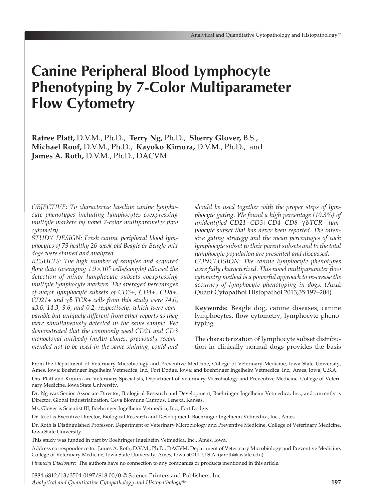# **Canine Peripheral Blood Lymphocyte Phenotyping by 7-Color Multiparameter Flow Cytometry**

**Ratree Platt,** D.V.M., Ph.D., **Terry Ng,** Ph.D., **Sherry Glover,** B.S., **Michael Roof,** D.V.M., Ph.D., **Kayoko Kimura,** D.V.M., Ph.D., and **James A. Roth,** D.V.M., Ph.D., DACVM

*OBJECTIVE: To characterize baseline canine lymphocyte phenotypes including lymphocytes coexpressing multiple markers by novel 7-color multiparameter flow cytometry.*

*STUDY DESIGN: Fresh canine peripheral blood lymphocytes of 79 healthy 26-week-old Beagle or Beagle-mix dogs were stained and analyzed.*

*RESULTS: The high number of samples and acquired flow data (averaging 1.9* × *105 cells/sample) allowed the detection of minor lymphocyte subsets coexpressing multiple lymphocyte markers. The averaged percentages of major lymphocyte subsets of CD3+, CD4+, CD8+, CD21+ and* γ δ *TCR+ cells from this study were 74.0, 43.6, 14.3, 9.6, and 0.2, respectively, which were comparable but uniquely different from other reports as they were simultaneously detected in the same sample. We demonstrated that the commonly used CD21 and CD3 monoclonal antibody (mAb) clones, previously recommended not to be used in the same staining, could and* *should be used together with the proper steps of lymphocyte gating. We found a high percentage (10.3%) of unidentified CD21– CD3+ CD4– CD8–* γ δ *TCR– lymphocyte subset that has never been reported. The intensive gating strategy and the mean percentages of each lymphocyte subset to their parent subsets and to the total lymphocyte population are presented and discussed. CONCLUSION: The canine lymphocyte phenotypes were fully characterized. This novel multiparameter flow cytometry method is a powerful approach to in-crease the accuracy of lymphocyte phenotyping in dogs.* (Anal Quant Cytopathol Histopathol 2013;35:197–204)

**Keywords:** Beagle dog, canine diseases, canine lymphocytes, flow cytometry, lymphocyte phenotyping.

The characterization of lymphocyte subset distribution in clinically normal dogs provides the basis

From the Department of Veterinary Microbiology and Preventive Medicine, College of Veterinary Medicine, Iowa State University, Ames, Iowa; Boehringer Ingelheim Vetmedica, Inc., Fort Dodge, Iowa; and Boehringer Ingelheim Vetmedica, Inc., Ames, Iowa, U.S.A. Drs. Platt and Kimura are Veterinary Specialists, Department of Veterinary Microbiology and Preventive Medicine, College of Veteri-

nary Medicine, Iowa State University.

Dr. Ng was Senior Associate Director, Biological Research and Development, Boehringer Ingelheim Vetmedica, Inc., and currently is Director, Global Industrialization, Ceva Biomune Campus, Lenexa, Kansas.

Ms. Glover is Scientist III, Boehringer Ingelheim Vetmedica, Inc., Fort Dodge.

Dr. Roof is Executive Director, Biological Research and Development, Boehringer Ingelheim Vetmedica, Inc., Ames.

Dr. Roth is Distinguished Professor, Department of Veterinary Microbiology and Preventive Medicine, College of Veterinary Medicine, Iowa State University.

This study was funded in part by Boehringer Ingelheim Vetmedica, Inc., Ames, Iowa.

Address correspondence to: James A. Roth, D.V.M., Ph.D., DACVM, Department of Veterinary Microbiology and Preventive Medicine, College of Veterinary Medicine, Iowa State University, Ames, Iowa 50011, U.S.A. (jaroth@iastate.edu).

*Financial Disclosure:* The authors have no connection to any companies or products mentioned in this article.

0884-6812/13/3504-0197/\$18.00/0 © Science Printers and Publishers, Inc. *Analytical and Quantitative Cytopathology and Histopathology®*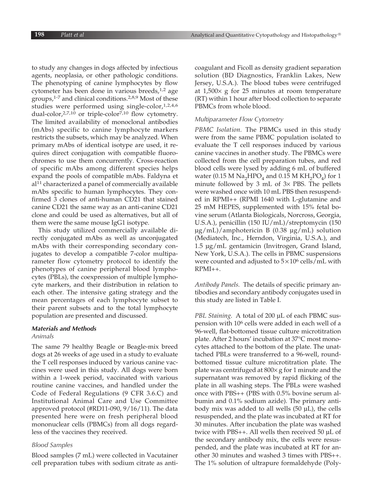to study any changes in dogs affected by infectious agents, neoplasia, or other pathologic conditions. The phenotyping of canine lymphocytes by flow cytometer has been done in various breeds,<sup>1,2</sup> age groups,1-7 and clinical conditions.2,8,9 Most of these studies were performed using single-color,<sup>1,2,4,6</sup> dual-color,2,7,10 or triple-color7,10 flow cytometry. The limited availability of monoclonal antibodies (mAbs) specific to canine lymphocyte markers restricts the subsets, which may be analyzed. When primary mAbs of identical isotype are used, it requires direct conjugation with compatible fluorochromes to use them concurrently. Cross-reaction of specific mAbs among different species helps expand the pools of compatible mAbs. Faldyna et al11 characterized a panel of commercially available mAbs specific to human lymphocytes. They confirmed 3 clones of anti-human CD21 that stained canine CD21 the same way as an anti-canine CD21 clone and could be used as alternatives, but all of them were the same mouse IgG1 isotype.

This study utilized commercially available directly conjugated mAbs as well as unconjugated mAbs with their corresponding secondary conjugates to develop a compatible 7-color multiparameter flow cytometry protocol to identify the phenotypes of canine peripheral blood lymphocytes (PBLs), the coexpression of multiple lymphocyte markers, and their distribution in relation to each other. The intensive gating strategy and the mean percentages of each lymphocyte subset to their parent subsets and to the total lymphocyte population are presented and discussed.

# *Materials and Methods*

### *Animals*

The same 79 healthy Beagle or Beagle-mix breed dogs at 26 weeks of age used in a study to evaluate the T cell responses induced by various canine vaccines were used in this study. All dogs were born within a 1-week period, vaccinated with various routine canine vaccines, and handled under the Code of Federal Regulations (9 CFR 3.6.C) and Institutional Animal Care and Use Committee approved protocol (#RD11-090, 9/16/11). The data presented here were on fresh peripheral blood mononuclear cells (PBMCs) from all dogs regardless of the vaccines they received.

#### *Blood Samples*

Blood samples (7 mL) were collected in Vacutainer cell preparation tubes with sodium citrate as anticoagulant and Ficoll as density gradient separation solution (BD Diagnostics, Franklin Lakes, New Jersey, U.S.A.). The blood tubes were centrifuged at  $1,500\times$  g for 25 minutes at room temperature (RT) within 1 hour after blood collection to separate PBMCs from whole blood.

## *Multiparameter Flow Cytometry*

*PBMC Isolation.* The PBMCs used in this study were from the same PBMC population isolated to evaluate the T cell responses induced by various canine vaccines in another study. The PBMCs were collected from the cell preparation tubes, and red blood cells were lysed by adding 6 mL of buffered water (0.15 M  $\text{Na}_2\text{HPO}_4$  and 0.15 M  $\text{KH}_2\text{PO}_4$ ) for 1 minute followed by 3 mL of 3× PBS. The pellets were washed once with 10 mL PBS then resuspended in RPMI++ (RPMI 1640 with L-glutamine and 25 mM HEPES, supplemented with 15% fetal bovine serum (Atlanta Biologicals, Norcross, Georgia, U.S.A.), penicillin (150 IU/mL)/streptomycin (150 μg/mL)/amphotericin B (0.38 μg/mL) solution (Mediatech, Inc., Herndon, Virginia, U.S.A.), and 1.5 μg/mL gentamicin (Invitrogen, Grand Island, New York, U.S.A.). The cells in PBMC suspensions were counted and adjusted to  $5 \times 10^6$  cells/mL with RPMI++.

*Antibody Panels.* The details of specific primary antibodies and secondary antibody conjugates used in this study are listed in Table I.

*PBL Staining.* A total of 200 μL of each PBMC suspension with 106 cells were added in each well of a 96-well, flat-bottomed tissue culture microtitration plate. After 2 hours' incubation at 37°C most monocytes attached to the bottom of the plate. The unattached PBLs were transferred to a 96-well, roundbottomed tissue culture microtitration plate. The plate was centrifuged at 800× g for 1 minute and the supernatant was removed by rapid flicking of the plate in all washing steps. The PBLs were washed once with PBS++ (PBS with 0.5% bovine serum albumin and 0.1% sodium azide). The primary antibody mix was added to all wells (50 μL), the cells resuspended, and the plate was incubated at RT for 30 minutes. After incubation the plate was washed twice with PBS++. All wells then received 50 μL of the secondary antibody mix, the cells were resuspended, and the plate was incubated at RT for another 30 minutes and washed 3 times with PBS++. The 1% solution of ultrapure formaldehyde (Poly-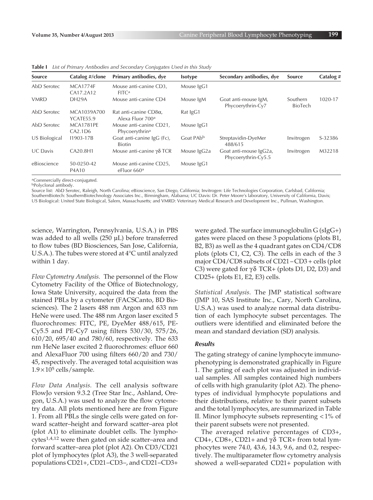| <b>Source</b> | Catalog #/clone              | Primary antibodies, dye                                       | <b>Isotype</b>        | Secondary antibodies, dye                     | <b>Source</b>              | Catalog# |
|---------------|------------------------------|---------------------------------------------------------------|-----------------------|-----------------------------------------------|----------------------------|----------|
| AbD Serotec   | <b>MCA1774F</b><br>CA17.2A12 | Mouse anti-canine CD3,<br>FITC <sup>a</sup>                   | Mouse IgG1            |                                               |                            |          |
| <b>VMRD</b>   | DH29A                        | Mouse anti-canine CD4                                         | Mouse IgM             | Goat anti-mouse IgM,<br>Phycoerythrin-Cy7     | Southern<br><b>BioTech</b> | 1020-17  |
| AbD Serotec   | MCA1039A700<br>YCATE55.9     | Rat anti-canine $CD8\alpha$ ,<br>Alexa Eluor 700 <sup>a</sup> | Rat IgG1              |                                               |                            |          |
| AbD Serotec   | MCA1781PE<br>CA2.1D6         | Mouse anti-canine CD21,<br>Phycoerythrin <sup>a</sup>         | Mouse IgG1            |                                               |                            |          |
| US Biological | 11903-17B                    | Goat anti-canine IgG (Fc),<br><b>Biotin</b>                   | Goat PAb <sup>b</sup> | Streptavidin-DyeMer<br>488/615                | Invitrogen                 | S-32386  |
| UC Davis      | CA20.8H1                     | Mouse anti-canine $\gamma\delta$ TCR                          | Mouse IgG2a           | Goat anti-mouse IgG2a,<br>Phycoerythrin-Cy5.5 | Invitrogen                 | M32218   |
| eBioscience   | 50-0250-42<br>P4A10          | Mouse anti-canine CD25,<br>eFluor 660 <sup>a</sup>            | Mouse IgG1            |                                               |                            |          |

**Table I** *List of Primary Antibodies and Secondary Conjugates Used in this Study*

aCommercially direct-conjugated.

bPolyclonal antibody.

Source list: AbD Serotec, Raleigh, North Carolina; eBioscience, San Diego, California; Invitrogen: Life Technologies Corporation, Carlsbad, California; SouthernBiotech: SouthernBiotechnology Associates Inc., Birmingham, Alabama; UC Davis: Dr. Peter Moore's laboratory, University of California, Davis; US Biological: United State Biological, Salem, Massachusetts; and VMRD: Veterinary Medical Research and Development Inc., Pullman, Washington.

science, Warrington, Pennsylvania, U.S.A.) in PBS was added to all wells (250 μL) before transferred to flow tubes (BD Biosciences, San Jose, California, U.S.A.). The tubes were stored at 4°C until analyzed within 1 day.

*Flow Cytometry Analysis.* The personnel of the Flow Cytometry Facility of the Office of Biotechnology, Iowa State University, acquired the data from the stained PBLs by a cytometer (FACSCanto, BD Biosciences). The 2 lasers 488 nm Argon and 633 nm HeNe were used. The 488 nm Argon laser excited 5 fluorochromes: FITC, PE, DyeMer 488/615, PE-Cy5.5 and PE-Cy7 using filters 530/30, 575/26, 610/20, 695/40 and 780/60, respectively. The 633 nm HeNe laser excited 2 fluorochromes: efluor 660 and AlexaFluor 700 using filters 660/20 and 730/ 45, respectively. The averaged total acquisition was  $1.9 \times 10^5$  cells/sample.

*Flow Data Analysis.* The cell analysis software FlowJo version 9.3.2 (Tree Star Inc., Ashland, Oregon, U.S.A.) was used to analyze the flow cytometry data. All plots mentioned here are from Figure 1. From all PBLs the single cells were gated on forward scatter–height and forward scatter–area plot (plot A1) to eliminate doublet cells. The lymphocytes1,4,12 were then gated on side scatter–area and forward scatter–area plot (plot A2). On CD3/CD21 plot of lymphocytes (plot A3), the 3 well-separated populations CD21+, CD21–CD3–, and CD21–CD3+

were gated. The surface immunoglobulin G (sIgG+) gates were placed on these 3 populations (plots B1, B2, B3) as well as the 4 quadrant gates on CD4/CD8 plots (plots C1, C2, C3). The cells in each of the 3 major CD4/CD8 subsets of CD21 – CD3 + cells (plot C3) were gated for  $\gamma \delta$  TCR+ (plots D1, D2, D3) and CD25+ (plots E1, E2, E3) cells.

*Statistical Analysis.* The JMP statistical software (JMP 10, SAS Institute Inc., Cary, North Carolina, U.S.A.) was used to analyze normal data distribution of each lymphocyte subset percentages. The outliers were identified and eliminated before the mean and standard deviation (SD) analysis.

#### *Results*

The gating strategy of canine lymphocyte immunophenotyping is demonstrated graphically in Figure 1. The gating of each plot was adjusted in individual samples. All samples contained high numbers of cells with high granularity (plot A2). The phenotypes of individual lymphocyte populations and their distributions, relative to their parent subsets and the total lymphocytes, are summarized in Table II. Minor lymphocyte subsets representing < 1% of their parent subsets were not presented.

The averaged relative percentages of CD3+, CD4+, CD8+, CD21+ and  $\gamma\delta$  TCR+ from total lymphocytes were 74.0, 43.6, 14.3, 9.6, and 0.2, respectively. The multiparameter flow cytometry analysis showed a well-separated CD21+ population with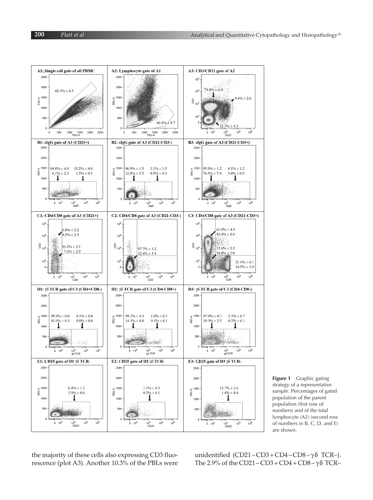



the majority of these cells also expressing CD3 fluorescence (plot A3). Another 10.3% of the PBLs were

unidentified  $(CD21 - CD3 + CD4 - CD8 - γδ TCR-)$ . The 2.9% of the CD21 – CD3 + CD4 + CD8 –  $\gamma\delta$  TCR–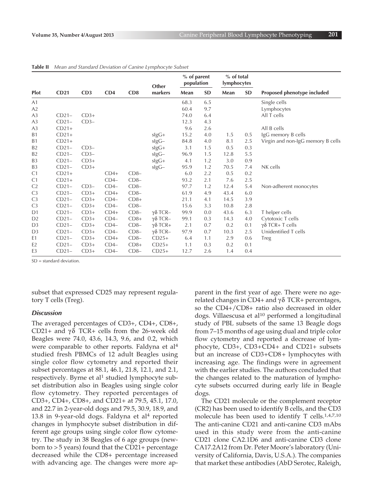| Plot           |         | CD3    | CD4    | CD <sub>8</sub> | Other<br>markers       | % of parent<br>population |           | % of total<br>lymphocytes |           |                                   |
|----------------|---------|--------|--------|-----------------|------------------------|---------------------------|-----------|---------------------------|-----------|-----------------------------------|
|                | CD21    |        |        |                 |                        | Mean                      | <b>SD</b> | Mean                      | <b>SD</b> | Proposed phenotype included       |
| A1             |         |        |        |                 |                        | 68.3                      | 6.5       |                           |           | Single cells                      |
| A2             |         |        |        |                 |                        | 60.4                      | 9.7       |                           |           | Lymphocytes                       |
| A <sub>3</sub> | $CD21-$ | $CD3+$ |        |                 |                        | 74.0                      | 6.4       |                           |           | All T cells                       |
| A3             | $CD21-$ | $CD3-$ |        |                 |                        | 12.3                      | 4.3       |                           |           |                                   |
| A <sub>3</sub> | $CD21+$ |        |        |                 |                        | 9.6                       | 2.6       |                           |           | All B cells                       |
| B <sub>1</sub> | $CD21+$ |        |        |                 | $slgG+$                | 15.2                      | 4.0       | 1.5                       | 0.5       | IgG memory B cells                |
| B1             | $CD21+$ |        |        |                 | $slgG-$                | 84.8                      | 4.0       | 8.1                       | 2.5       | Virgin and non-IgG memory B cells |
| <b>B2</b>      | $CD21-$ | $CD3-$ |        |                 | $slgG+$                | 3.1                       | 1.5       | 0.5                       | 0.3       |                                   |
| <b>B2</b>      | $CD21-$ | $CD3-$ |        |                 | $slgG-$                | 96.9                      | 1.5       | 12.8                      | 5.5       |                                   |
| B <sub>3</sub> | $CD21-$ | $CD3+$ |        |                 | slgG+                  | 4.1                       | 1.2       | 3.0                       | 0.9       |                                   |
| B <sub>3</sub> | $CD21-$ | $CD3+$ |        |                 | $\operatorname{slgG-}$ | 95.9                      | 1.2       | 70.5                      | 7.4       | NK cells                          |
| C <sub>1</sub> | $CD21+$ |        | $CD4+$ | $CD8-$          |                        | 6.0                       | 2.2       | 0.5                       | 0.2       |                                   |
| C <sub>1</sub> | $CD21+$ |        | $CD4-$ | $CD8-$          |                        | 93.2                      | 2.1       | 7.6                       | 2.5       |                                   |
| C <sub>2</sub> | $CD21-$ | $CD3-$ | $CD4-$ | $CD8-$          |                        | 97.7                      | 1.2       | 12.4                      | 5.4       | Non-adherent monocytes            |
| C <sub>3</sub> | $CD21-$ | $CD3+$ | $CD4+$ | $CD8-$          |                        | 61.9                      | 4.9       | 43.4                      | 6.0       |                                   |
| C <sub>3</sub> | $CD21-$ | $CD3+$ | $CD4-$ | $CD8+$          |                        | 21.1                      | 4.1       | 14.5                      | 3.9       |                                   |
| C <sub>3</sub> | $CD21-$ | $CD3+$ | $CD4-$ | $CD8-$          |                        | 15.6                      | 3.3       | 10.8                      | 2.8       |                                   |
| D <sub>1</sub> | $CD21-$ | $CD3+$ | $CD4+$ | $CD8-$          | $γδ$ TCR-              | 99.9                      | 0.0       | 43.6                      | 6.3       | T helper cells                    |
| D <sub>2</sub> | $CD21-$ | $CD3+$ | $CD4-$ | $CD8+$          | $γδ$ TCR-              | 99.1                      | 0.3       | 14.3                      | 4.0       | Cytotoxic T cells                 |
| D <sub>3</sub> | $CD21-$ | $CD3+$ | $CD4-$ | $CD8-$          | $\gamma\delta$ TCR+    | 2.1                       | 0.7       | 0.2                       | 0.1       | $γδ$ TCR+ T cells                 |
| D <sub>3</sub> | $CD21-$ | $CD3+$ | $CD4-$ | $CD8-$          | $γδ$ TCR-              | 97.9                      | 0.7       | 10.3                      | 2.5       | Unidentified T cells              |
| E1             | $CD21-$ | $CD3+$ | $CD4+$ | $CD8-$          | $CD25+$                | 6.4                       | 1.1       | 2.9                       | 0.6       | Treg                              |
| E <sub>2</sub> | $CD21-$ | $CD3+$ | $CD4-$ | $CD8+$          | $CD25+$                | 1.1                       | 0.3       | 0.2                       | 0.1       |                                   |
| E <sub>3</sub> | $CD21-$ | $CD3+$ | $CD4-$ | $CD8-$          | $CD25+$                | 12.7                      | 2.6       | 1.4                       | 0.4       |                                   |

**Table II** *Mean and Standard Deviation of Canine Lymphocyte Subset*

 $SD =$  standard deviation.

subset that expressed CD25 may represent regulatory T cells (Treg).

#### *Discussion*

The averaged percentages of CD3+, CD4+, CD8+, CD21+ and  $\gamma \delta$  TCR+ cells from the 26-week old Beagles were 74.0, 43.6, 14.3, 9.6, and 0.2, which were comparable to other reports. Faldyna et al4 studied fresh PBMCs of 12 adult Beagles using single color flow cytometry and reported their subset percentages at 88.1, 46.1, 21.8, 12.1, and 2.1, respectively. Byrne et al<sup>1</sup> studied lymphocyte subset distribution also in Beagles using single color flow cytometry. They reported percentages of CD3+, CD4+, CD8+, and CD21+ at 79.5, 45.1, 17.0, and 22.7 in 2-year-old dogs and 79.5, 30.9, 18.9, and 13.8 in 9-year-old dogs. Faldyna et al<sup>4</sup> reported changes in lymphocyte subset distribution in different age groups using single color flow cytometry. The study in 38 Beagles of 6 age groups (newborn to > 5 years) found that the CD21+ percentage decreased while the CD8+ percentage increased with advancing age. The changes were more apparent in the first year of age. There were no agerelated changes in CD4+ and γ $δ$  TCR+ percentages, so the CD4+/CD8+ ratio also decreased in older dogs. Villaescusa et al<sup>10</sup> performed a longitudinal study of PBL subsets of the same 13 Beagle dogs from 7–15 months of age using dual and triple color flow cytometry and reported a decrease of lymphocyte, CD3+, CD3+CD4+ and CD21+ subsets but an increase of CD3+CD8+ lymphocytes with increasing age. The findings were in agreement with the earlier studies. The authors concluded that the changes related to the maturation of lymphocyte subsets occurred during early life in Beagle dogs.

The CD21 molecule or the complement receptor (CR2) has been used to identify B cells, and the CD3 molecule has been used to identify T cells.1,4,7,10 The anti-canine CD21 and anti-canine CD3 mAbs used in this study were from the anti-canine CD21 clone CA2.1D6 and anti-canine CD3 clone CA17.2A12 from Dr. Peter Moore's laboratory (University of California, Davis, U.S.A.). The companies that market these antibodies (AbD Serotec, Raleigh,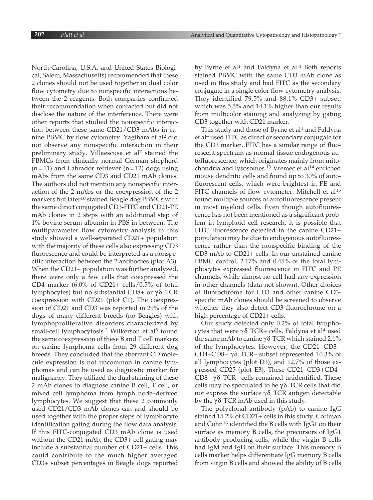North Carolina, U.S.A. and United States Biological, Salem, Massachusetts) recommended that these 2 clones should not be used together in dual color flow cytometry due to nonspecific interactions between the 2 reagents. Both companies confirmed their recommendation when contacted but did not disclose the nature of the interference. There were other reports that studied the nonspecific interaction between these same CD21/CD3 mAbs in canine PBMC by flow cytometry. Yagihara et al<sup>2</sup> did not observe any nonspecific interaction in their preliminary study. Villaescusa et al<sup>7</sup> stained the PBMCs from clinically normal German shepherd  $(n=11)$  and Labrador retriever  $(n=12)$  dogs using mAbs from the same CD3 and CD21 mAb clones. The authors did not mention any nonspecific interaction of the 2 mAbs or the coexpression of the 2 markers but later<sup>10</sup> stained Beagle dog PBMCs with the same direct conjugated CD3-FITC and CD21-PE mAb clones in 2 steps with an additional step of 1% bovine serum albumin in PBS in between. The multiparameter flow cytometry analysis in this study showed a well-separated CD21+ population with the majority of these cells also expressing CD3 fluorescence and could be interpreted as a nonspecific interaction between the 2 antibodies (plot A3). When the CD21+ population was further analyzed, there were only a few cells that coexpressed the CD4 marker  $(6.0\% \text{ of CD21+ cells}/0.5\% \text{ of total})$ lymphocytes) but no substantial CD8+ or  $\gamma\delta$  TCR coexpression with CD21 (plot C1). The coexpression of CD21 and CD3 was reported in 29% of the dogs of many different breeds (no Beagles) with lymphoproliferative disorders characterized by small-cell lymphocytosis.<sup>2</sup> Wilkerson et al<sup>8</sup> found the same coexpression of these B and T cell markers on canine lymphoma cells from 29 different dog breeds. They concluded that the aberrant CD molecule expression is not uncommon in canine lymphomas and can be used as diagnostic marker for malignancy. They utilized the dual staining of these 2 mAb clones to diagnose canine B cell, T cell, or mixed cell lymphoma from lymph node–derived lymphocytes. We suggest that these 2 commonly used CD21/CD3 mAb clones can and should be used together with the proper steps of lymphocyte identification gating during the flow data analysis. If this FITC-conjugated CD3 mAb clone is used without the CD21 mAb, the CD3+ cell gating may include a substantial number of CD21+ cells. This could contribute to the much higher averaged CD3+ subset percentages in Beagle dogs reported

by Byrne et al<sup>1</sup> and Faldyna et al.<sup>4</sup> Both reports stained PBMC with the same CD3 mAb clone as used in this study and had FITC as the secondary conjugate in a single color flow cytometry analysis. They identified 79.5% and 88.1% CD3+ subset, which was 5.5% and 14.1% higher than our results from multicolor staining and analyzing by gating CD3 together with CD21 marker.

This study and those of Byrne et al<sup>1</sup> and Faldyna et al<sup>4</sup> used FITC as direct or secondary conjugate for the CD3 marker. FITC has a similar range of fluorescent spectrum as normal tissue endogenous autofluorescence, which originates mainly from mitochondria and lysosomes.<sup>13</sup> Vremec et al<sup>14</sup> enriched mouse dendritic cells and found up to 30% of autofluorescent cells, which were brightest in PE and FITC channels of flow cytometer. Mitchell et al<sup>15</sup> found multiple sources of autofluorescence present in most myeloid cells. Even though autofluorescence has not been mentioned as a significant problem in lymphoid cell research, it is possible that FITC fluorescence detected in the canine CD21+ population may be due to endogenous autofluorescence rather than the nonspecific binding of the CD3 mAb to CD21+ cells. In our unstained canine PBMC control, 2.17% and 0.45% of the total lymphocytes expressed fluorescence in FITC and PE channels, while almost no cell had any expression in other channels (data not shown). Other choices of fluorochrome for CD3 and other canine CD3 specific mAb clones should be screened to observe whether they also detect CD3 fluorochrome on a high percentage of CD21+ cells.

Our study detected only 0.2% of total lymphocytes that were γδ TCR+ cells. Faldyna et al<sup>4</sup> used the same mAb to canine γδ TCR which stained 2.1% of the lymphocytes. However, the CD21–CD3+ CD4–CD8– γ δ TCR– subset represented 10.3% of all lymphocytes (plot D3), and 12.7% of those expressed CD25 (plot E3). These CD21–CD3+CD4– CD8–  $\gamma$ δ TCR– cells remained unidentified. These cells may be speculated to be  $\gamma\delta$  TCR cells that did not express the surface  $γδ$  TCR antigen detectable by the γ $δ$  TCR mAb used in this study.

The polyclonal antibody (pAb) to canine IgG stained 15.2% of CD21+ cells in this study. Coffman and Cohn<sup>16</sup> identified the B cells with IgG1 on their surface as memory B cells, the precursors of IgG1 antibody producing cells, while the virgin B cells had IgM and IgD on their surface. This memory B cells marker helps differentiate IgG memory B cells from virgin B cells and showed the ability of B cells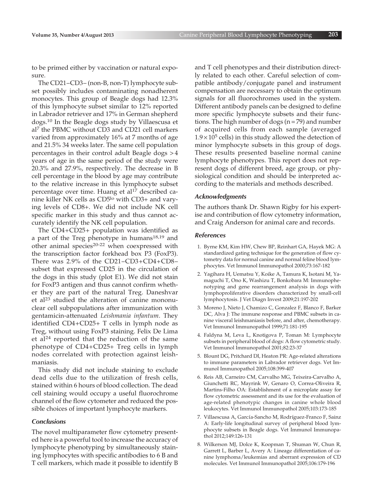to be primed either by vaccination or natural exposure.

The CD21–CD3– (non-B, non-T) lymphocyte subset possibly includes contaminating nonadherent monocytes. This group of Beagle dogs had 12.3% of this lymphocyte subset similar to 12% reported in Labrador retriever and 17% in German shepherd dogs.10 In the Beagle dogs study by Villaescusa et al7 the PBMC without CD3 and CD21 cell markers varied from approximately 16% at 7 months of age and 21.5% 34 weeks later. The same cell population percentages in their control adult Beagle dogs > 4 years of age in the same period of the study were 20.3% and 27.9%, respectively. The decrease in B cell percentage in the blood by age may contribute to the relative increase in this lymphocyte subset percentage over time. Huang et al<sup>17</sup> described canine killer NK cells as CD5lo with CD3+ and varying levels of CD8+. We did not include NK cell specific marker in this study and thus cannot accurately identify the NK cell population.

The CD4+CD25+ population was identified as a part of the Treg phenotype in humans<sup>18,19</sup> and other animal species<sup>20-22</sup> when coexpressed with the transcription factor forkhead box P3 (FoxP3). There was 2.9% of the CD21–CD3+CD4+CD8– subset that expressed CD25 in the circulation of the dogs in this study (plot E1). We did not stain for FoxP3 antigen and thus cannot confirm whether they are part of the natural Treg. Daneshvar et al<sup>23</sup> studied the alteration of canine mononuclear cell subpopulations after immunization with gentamicin-attenuated *Leishmania infantum*. They identified CD4+CD25+ T cells in lymph node as Treg, without using FoxP3 staining. Felix De Lima et al24 reported that the reduction of the same phenotype of CD4+CD25+ Treg cells in lymph nodes correlated with protection against leishmaniasis.

This study did not include staining to exclude dead cells due to the utilization of fresh cells, stained within 6 hours of blood collection. The dead cell staining would occupy a useful fluorochrome channel of the flow cytometer and reduced the possible choices of important lymphocyte markers.

#### *Conclusions*

The novel multiparameter flow cytometry presented here is a powerful tool to increase the accuracy of lymphocyte phenotyping by simultaneously staining lymphocytes with specific antibodies to 6 B and T cell markers, which made it possible to identify B and T cell phenotypes and their distribution directly related to each other. Careful selection of compatible antibody/conjugate panel and instrument compensation are necessary to obtain the optimum signals for all fluorochromes used in the system. Different antibody panels can be designed to define more specific lymphocyte subsets and their functions. The high number of dogs  $(n = 79)$  and number of acquired cells from each sample (averaged  $1.9 \times 10^5$  cells) in this study allowed the detection of minor lymphocyte subsets in this group of dogs. These results presented baseline normal canine lymphocyte phenotypes. This report does not represent dogs of different breed, age group, or physiological condition and should be interpreted according to the materials and methods described.

#### *Acknowledgments*

The authors thank Dr. Shawn Rigby for his expertise and contribution of flow cytometry information, and Craig Anderson for animal care and records.

#### *References*

- 1. Byrne KM, Kim HW, Chew BP, Reinhart GA, Hayek MG: A standardized gating technique for the generation of flow cytometry data for normal canine and normal feline blood lymphocytes. Vet Immunol Immunopathol 2000;73:167-182
- 2. Yagihara H, Uematsu Y, Koike A, Tamura K, Isotani M, Yamaguchi T, Ono K, Washizu T, Bonkobara M: Immunophenotyping and gene rearrangement analysis in dogs with lymphoproliferative disorders characterized by small-cell lymphocytosis. J Vet Diagn Invest 2009;21:197-202
- 3. Moreno J, Nieto J, Chamizo C, Gonzalez F, Blanco F, Barker DC, Alva J: The immune response and PBMC subsets in canine visceral leishmaniasis before, and after, chemotherapy. Vet Immunol Immunopathol 1999;71:181-195
- 4. Faldyna M, Leva L, Knotigova P, Toman M: Lymphocyte subsets in peripheral blood of dogs: A flow cytometric study. Vet Immunol Immunopathol 2001;82:23-37
- 5. Blount DG, Pritchard DI, Heaton PR: Age-related alterations to immune parameters in Labrador retriever dogs. Vet Immunol Immunopathol 2005;108:399-407
- 6. Reis AB, Carneiro CM, Carvalho MG, Teixeira-Carvalho A, Giunchetti RC, Mayrink W, Genaro O, Correa-Oliveira R, Martins-Filho OA: Establishment of a microplate assay for flow cytometric assessment and its use for the evaluation of age-related phenotypic changes in canine whole blood leukocytes. Vet Immunol Immunopathol 2005;103:173-185
- 7. Villaescusa A, García-Sancho M, Rodríguez-Franco F, Sainz A: Early-life longitudinal survey of peripheral blood lymphocyte subsets in Beagle dogs. Vet Immunol Immunopathol 2012;149:126-131
- 8. Wilkerson MJ, Dolce K, Koopman T, Shuman W, Chun R, Garrett L, Barber L, Avery A: Lineage differentiation of canine lymphoma/leukemias and aberrant expression of CD molecules. Vet Immunol Immunopathol 2005;106:179-196